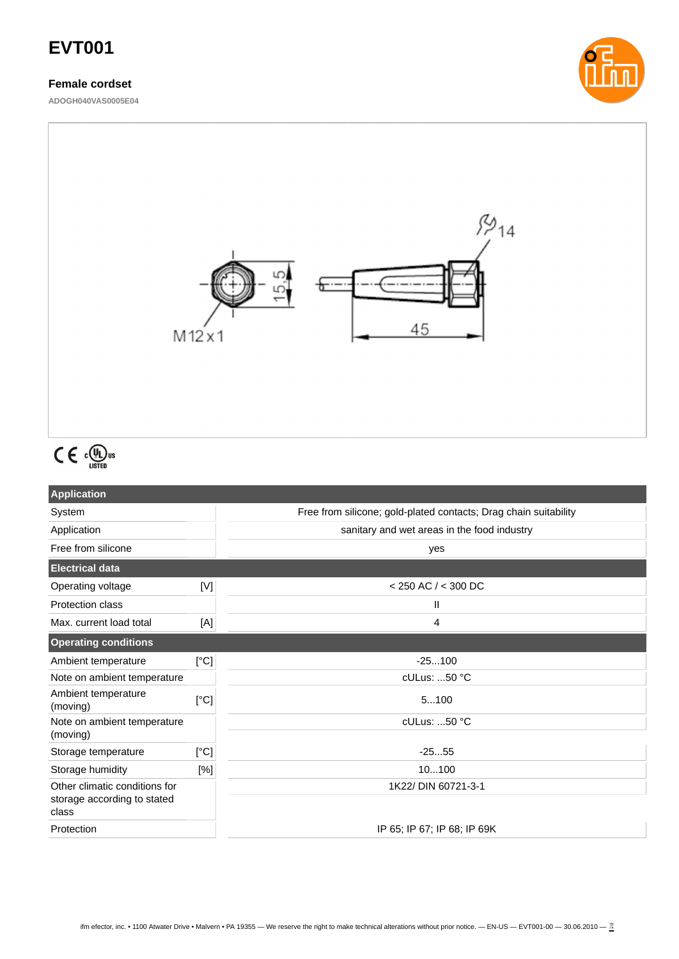# **EVT001**

### **Female cordset**

**ADOGH040VAS0005E04**





# $C \in \mathbb{C}^{(I_U)_\text{us}}$

| <b>Application</b>                   |             |                                                                  |  |
|--------------------------------------|-------------|------------------------------------------------------------------|--|
| System                               |             | Free from silicone; gold-plated contacts; Drag chain suitability |  |
| Application                          |             | sanitary and wet areas in the food industry                      |  |
| Free from silicone                   |             | yes                                                              |  |
| <b>Electrical data</b>               |             |                                                                  |  |
| Operating voltage                    | $[{\sf V}]$ | $<$ 250 AC $/$ < 300 DC                                          |  |
| <b>Protection class</b>              |             | Ш                                                                |  |
| Max. current load total              | [A]         | 4                                                                |  |
| <b>Operating conditions</b>          |             |                                                                  |  |
| Ambient temperature                  | [°C]        | $-25100$                                                         |  |
| Note on ambient temperature          |             | cULus: 50 °C                                                     |  |
| Ambient temperature<br>(moving)      | [°C]        | 5100                                                             |  |
| Note on ambient temperature          |             | $c$ ULus: 50 $°C$                                                |  |
| (moving)                             |             |                                                                  |  |
| Storage temperature                  | [°C]        | $-2555$                                                          |  |
| Storage humidity                     | [%]         | 10100                                                            |  |
| Other climatic conditions for        |             | 1K22/ DIN 60721-3-1                                              |  |
| storage according to stated<br>class |             |                                                                  |  |
| Protection                           |             | IP 65; IP 67; IP 68; IP 69K                                      |  |